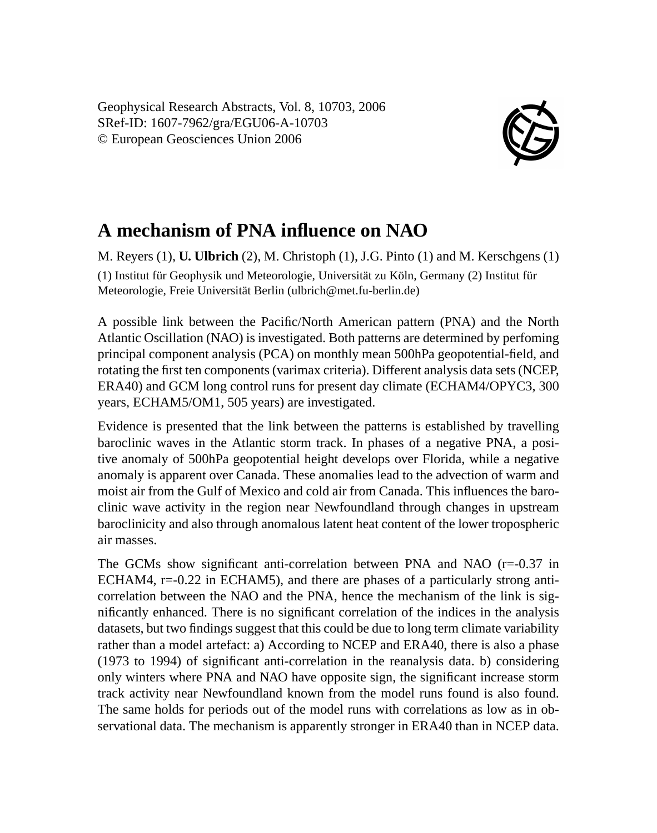Geophysical Research Abstracts, Vol. 8, 10703, 2006 SRef-ID: 1607-7962/gra/EGU06-A-10703 © European Geosciences Union 2006



## **A mechanism of PNA influence on NAO**

M. Reyers (1), **U. Ulbrich** (2), M. Christoph (1), J.G. Pinto (1) and M. Kerschgens (1) (1) Institut für Geophysik und Meteorologie, Universität zu Köln, Germany (2) Institut für Meteorologie, Freie Universität Berlin (ulbrich@met.fu-berlin.de)

A possible link between the Pacific/North American pattern (PNA) and the North Atlantic Oscillation (NAO) is investigated. Both patterns are determined by perfoming principal component analysis (PCA) on monthly mean 500hPa geopotential-field, and rotating the first ten components (varimax criteria). Different analysis data sets (NCEP, ERA40) and GCM long control runs for present day climate (ECHAM4/OPYC3, 300 years, ECHAM5/OM1, 505 years) are investigated.

Evidence is presented that the link between the patterns is established by travelling baroclinic waves in the Atlantic storm track. In phases of a negative PNA, a positive anomaly of 500hPa geopotential height develops over Florida, while a negative anomaly is apparent over Canada. These anomalies lead to the advection of warm and moist air from the Gulf of Mexico and cold air from Canada. This influences the baroclinic wave activity in the region near Newfoundland through changes in upstream baroclinicity and also through anomalous latent heat content of the lower tropospheric air masses.

The GCMs show significant anti-correlation between PNA and NAO  $(r=-0.37 \text{ in}$ ECHAM4,  $r=0.22$  in ECHAM5), and there are phases of a particularly strong anticorrelation between the NAO and the PNA, hence the mechanism of the link is significantly enhanced. There is no significant correlation of the indices in the analysis datasets, but two findings suggest that this could be due to long term climate variability rather than a model artefact: a) According to NCEP and ERA40, there is also a phase (1973 to 1994) of significant anti-correlation in the reanalysis data. b) considering only winters where PNA and NAO have opposite sign, the significant increase storm track activity near Newfoundland known from the model runs found is also found. The same holds for periods out of the model runs with correlations as low as in observational data. The mechanism is apparently stronger in ERA40 than in NCEP data.